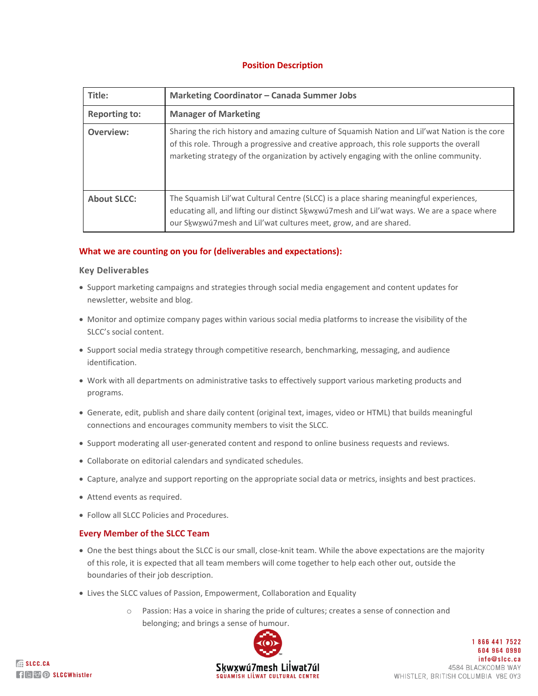# **Position Description**

| Title:               | <b>Marketing Coordinator - Canada Summer Jobs</b>                                                                                                                                                                                                                                     |
|----------------------|---------------------------------------------------------------------------------------------------------------------------------------------------------------------------------------------------------------------------------------------------------------------------------------|
| <b>Reporting to:</b> | <b>Manager of Marketing</b>                                                                                                                                                                                                                                                           |
| Overview:            | Sharing the rich history and amazing culture of Squamish Nation and Lil'wat Nation is the core<br>of this role. Through a progressive and creative approach, this role supports the overall<br>marketing strategy of the organization by actively engaging with the online community. |
| <b>About SLCC:</b>   | The Squamish Lil'wat Cultural Centre (SLCC) is a place sharing meaningful experiences,<br>educating all, and lifting our distinct Skwxwu7mesh and Lil'wat ways. We are a space where<br>our Skwxwú7mesh and Lil'wat cultures meet, grow, and are shared.                              |

## **What we are counting on you for (deliverables and expectations):**

#### **Key Deliverables**

- Support marketing campaigns and strategies through social media engagement and content updates for newsletter, website and blog.
- Monitor and optimize company pages within various social media platforms to increase the visibility of the SLCC's social content.
- Support social media strategy through competitive research, benchmarking, messaging, and audience identification.
- Work with all departments on administrative tasks to effectively support various marketing products and programs.
- Generate, edit, publish and share daily content (original text, images, video or HTML) that builds meaningful connections and encourages community members to visit the SLCC.
- Support moderating all user-generated content and respond to online business requests and reviews.
- Collaborate on editorial calendars and syndicated schedules.
- Capture, analyze and support reporting on the appropriate social data or metrics, insights and best practices.
- Attend events as required.
- Follow all SLCC Policies and Procedures.

#### **Every Member of the SLCC Team**

- One the best things about the SLCC is our small, close-knit team. While the above expectations are the majority of this role, it is expected that all team members will come together to help each other out, outside the boundaries of their job description.
- Lives the SLCC values of Passion, Empowerment, Collaboration and Equality
	- o Passion: Has a voice in sharing the pride of cultures; creates a sense of connection and belonging; and brings a sense of humour.